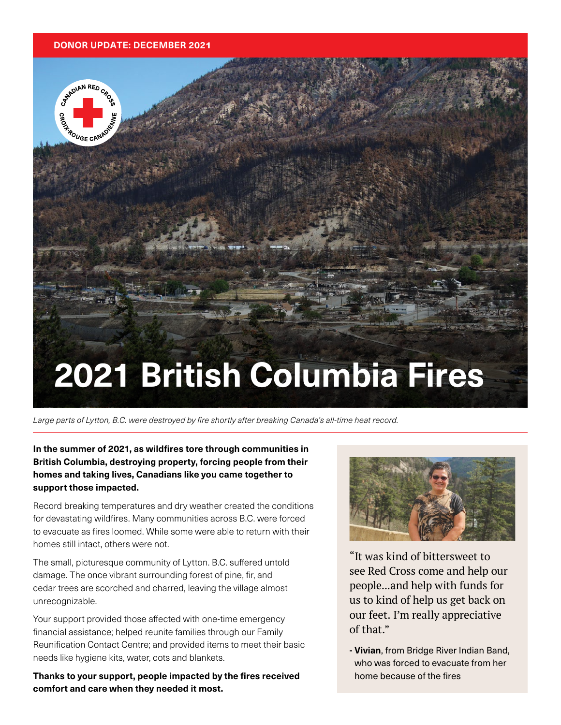#### **DONOR UPDATE: DECEMBER 202**1

CATADIAN RED CAC

**POUGE CANACT** 



Large parts of Lytton, B.C. were destroyed by fire shortly after breaking Canada's all-time heat record.

**In the summer of 2021, as wildfires tore through communities in British Columbia, destroying property, forcing people from their homes and taking lives, Canadians like you came together to support those impacted.** 

Record breaking temperatures and dry weather created the conditions for devastating wildfires. Many communities across B.C. were forced to evacuate as fires loomed. While some were able to return with their homes still intact, others were not.

The small, picturesque community of Lytton. B.C. suffered untold damage. The once vibrant surrounding forest of pine, fir, and cedar trees are scorched and charred, leaving the village almost unrecognizable.

Your support provided those affected with one-time emergency financial assistance; helped reunite families through our Family Reunification Contact Centre; and provided items to meet their basic needs like hygiene kits, water, cots and blankets.

**Thanks to your support, people impacted by the fires received comfort and care when they needed it most.** 



"It was kind of bittersweet to see Red Cross come and help our people...and help with funds for us to kind of help us get back on our feet. I'm really appreciative of that."

**- Vivian**, from Bridge River Indian Band, who was forced to evacuate from her home because of the fires